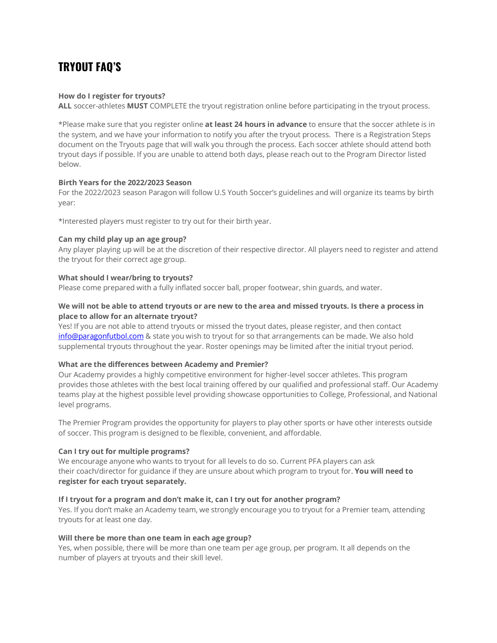# **TRYOUT FAQ'S**

#### **How do I register for tryouts?**

**ALL** soccer-athletes **MUST** COMPLETE the tryout registration online before participating in the tryout process.

\*Please make sure that you register online **at least 24 hours in advance** to ensure that the soccer athlete is in the system, and we have your information to notify you after the tryout process. There is a Registration Steps document on the Tryouts page that will walk you through the process. Each soccer athlete should attend both tryout days if possible. If you are unable to attend both days, please reach out to the Program Director listed below.

# **Birth Years for the 2022/2023 Season**

For the 2022/2023 season Paragon will follow U.S Youth Soccer's guidelines and will organize its teams by birth year:

\*Interested players must register to try out for their birth year.

#### **Can my child play up an age group?**

Any player playing up will be at the discretion of their respective director. All players need to register and attend the tryout for their correct age group.

#### **What should I wear/bring to tryouts?**

Please come prepared with a fully inflated soccer ball, proper footwear, shin guards, and water.

## **We will not be able to attend tryouts or are new to the area and missed tryouts. Is there a process in place to allow for an alternate tryout?**

Yes! If you are not able to attend tryouts or missed the tryout dates, please register, and then contact [info@paragonfutbol.com](mailto:info@paragonfutbol.com) & state you wish to tryout for so that arrangements can be made. We also hold supplemental tryouts throughout the year. Roster openings may be limited after the initial tryout period.

#### **What are the differences between Academy and Premier?**

Our Academy provides a highly competitive environment for higher-level soccer athletes. This program provides those athletes with the best local training offered by our qualified and professional staff. Our Academy teams play at the highest possible level providing showcase opportunities to College, Professional, and National level programs.

The Premier Program provides the opportunity for players to play other sports or have other interests outside of soccer. This program is designed to be flexible, convenient, and affordable.

## **Can I try out for multiple programs?**

We encourage anyone who wants to tryout for all levels to do so. Current PFA players can ask their coach/director for guidance if they are unsure about which program to tryout for. **You will need to register for each tryout separately.**

## **If I tryout for a program and don't make it, can I try out for another program?**

Yes. If you don't make an Academy team, we strongly encourage you to tryout for a Premier team, attending tryouts for at least one day.

#### **Will there be more than one team in each age group?**

Yes, when possible, there will be more than one team per age group, per program. It all depends on the number of players at tryouts and their skill level.